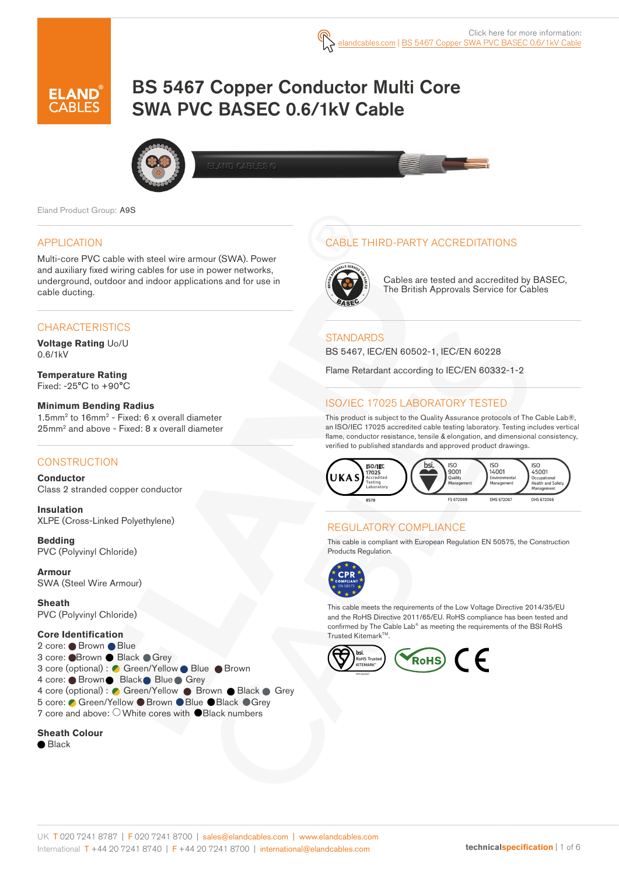# BS 5467 Copper Conductor Multi Core SWA PVC BASEC 0.6/1kV Cable



Eland Product Group: A9S

#### APPLICATION

Multi-core PVC cable with steel wire armour (SWA). Power and auxiliary fixed wiring cables for use in power networks, underground, outdoor and indoor applications and for use in cable ducting.

#### **CHARACTERISTICS**

**Voltage Rating** Uo/U 0.6/1kV

**Temperature Rating** Fixed: -25°C to +90°C

#### **Minimum Bending Radius**

1.5mm2 to 16mm2 - Fixed: 6 x overall diameter 25mm2 and above - Fixed: 8 x overall diameter

#### **CONSTRUCTION**

**Conductor** Class 2 stranded copper conductor

**Insulation** XLPE (Cross-Linked Polyethylene)

**Bedding** PVC (Polyvinyl Chloride)

**Armour** SWA (Steel Wire Armour)

**Sheath** PVC (Polyvinyl Chloride)

#### **Core Identification**

2 core: Brown Blue 3 core: ● Brown ● Black ● Grey 3 core (optional) : Green/Yellow Blue Brown 4 core: ● Brown ● Black ● Blue ● Grey 4 core (optional) : C Green/Yellow Brown Black Grey 5 core: ● Green/Yellow ● Brown ● Blue ● Black ● Grey 7 core and above: O White cores with **O** Black numbers

#### **Sheath Colour**

● Black

### CABLE THIRD-PARTY ACCREDITATIONS



Cables are tested and accredited by BASEC, The British Approvals Service for Cables

#### **STANDARDS**

BS 5467, IEC/EN 60502-1, IEC/EN 60228

Flame Retardant according to IEC/EN 60332-1-2

### ISO/IEC 17025 LABORATORY TESTED

This product is subject to the Quality Assurance protocols of The Cable Lab®, an ISO/IEC 17025 accredited cable testing laboratory. Testing includes vertical flame, conductor resistance, tensile & elongation, and dimensional consistency, verified to published standards and approved product drawings.



### REGULATORY COMPLIANCE

This cable is compliant with European Regulation EN 50575, the Construction Products Regulation.



This cable meets the requirements of the Low Voltage Directive 2014/35/EU and the RoHS Directive 2011/65/EU. RoHS compliance has been tested and confirmed by The Cable Lab® as meeting the requirements of the BSI RoHS Trusted Kitemark™.

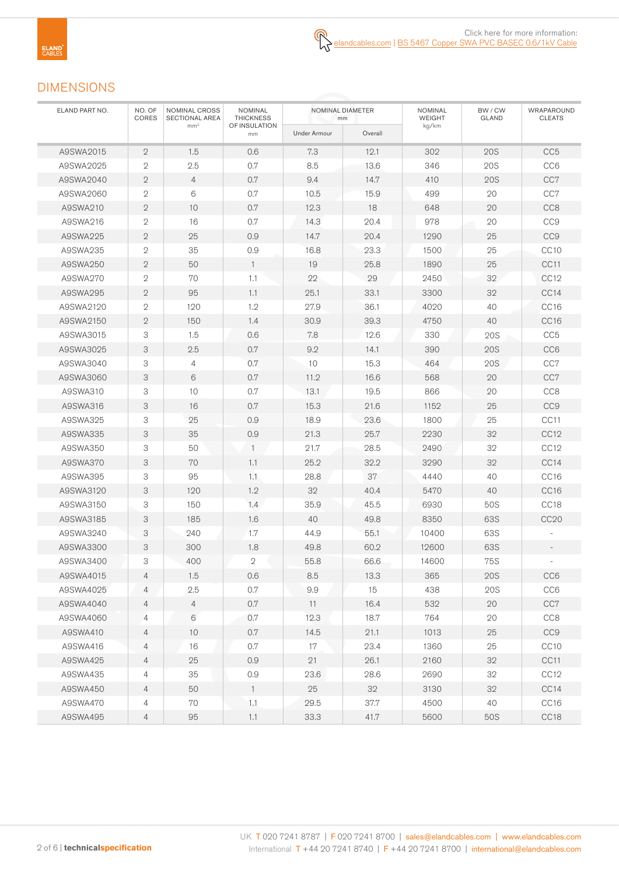## DIMENSIONS

| ELAND PART NO. | NOMINAL CROSS<br>NO. OF<br>CORES<br>SECTIONAL AREA |                 | <b>NOMINAL</b><br><b>THICKNESS</b> |              | NOMINAL DIAMETER<br>mm | <b>NOMINAL</b><br><b>WEIGHT</b> | BW / CW<br>GLAND | WRAPAROUND<br><b>CLEATS</b> |
|----------------|----------------------------------------------------|-----------------|------------------------------------|--------------|------------------------|---------------------------------|------------------|-----------------------------|
|                |                                                    | mm <sup>2</sup> | OF INSULATION<br>mm                | Under Armour | Overall                | kg/km                           |                  |                             |
| A9SWA2015      | $\mathbf{2}$                                       | 1.5             | 0.6                                | 7.3          | 12.1                   | 302                             | <b>20S</b>       | CC <sub>5</sub>             |
| A9SWA2025      | $\mathbf 2$                                        | 2.5             | 0.7                                | 8.5          | 13.6                   | 346                             | <b>20S</b>       | CC <sub>6</sub>             |
| A9SWA2040      | $\mathbf{2}$                                       | $\overline{4}$  | 0.7                                | 9.4          | 14.7                   | 410                             | <b>20S</b>       | CC7                         |
| A9SWA2060      | $\mathbf{2}$                                       | 6               | 0.7                                | 10.5         | 15.9                   | 499                             | 20               | CC7                         |
| A9SWA210       | $\mathbf{2}$                                       | 10              | 0.7                                | 12.3         | 18                     | 648                             | 20               | CC <sub>8</sub>             |
| A9SWA216       | $\mathbf{2}$                                       | 16              | 0.7                                | 14.3         | 20.4                   | 978                             | 20               | CC <sub>9</sub>             |
| A9SWA225       | $\mathbf{2}$                                       | 25              | 0.9                                | 14.7         | 20.4                   | 1290                            | 25               | CC <sub>9</sub>             |
| A9SWA235       | $\overline{2}$                                     | 35              | 0.9                                | 16.8         | 23.3                   | 1500                            | 25               | CC <sub>10</sub>            |
| A9SWA250       | $\mathbf{2}$                                       | 50              | $\mathbf{1}$                       | 19           | 25.8                   | 1890                            | 25               | CC11                        |
| A9SWA270       | $\mathbf{2}$                                       | 70              | 1.1                                | 22           | 29                     | 2450                            | 32               | CC <sub>12</sub>            |
| A9SWA295       | $\overline{2}$                                     | 95              | 1.1                                | 25.1         | 33.1                   | 3300                            | 32               | CC14                        |
| A9SWA2120      | $\sqrt{2}$                                         | 120             | 1.2                                | 27.9         | 36.1                   | 4020                            | 40               | CC <sub>16</sub>            |
| A9SWA2150      | $\mathbf{2}$                                       | 150             | 1.4                                | 30.9         | 39.3                   | 4750                            | 40               | CC <sub>16</sub>            |
| A9SWA3015      | 3                                                  | 1.5             | 0.6                                | 7.8          | 12.6                   | 330                             | 20S              | CC <sub>5</sub>             |
| A9SWA3025      | 3                                                  | 2.5             | 0.7                                | 9.2          | 14.1                   | 390                             | 20S              | CC <sub>6</sub>             |
| A9SWA3040      | 3                                                  | $\overline{4}$  | 0.7                                | 10           | 15.3                   | 464                             | 20S              | CC7                         |
| A9SWA3060      | 3                                                  | 6               | 0.7                                | 11.2         | 16.6                   | 568                             | 20               | CC7                         |
| A9SWA310       | 3                                                  | 10              | 0.7                                | 13.1         | 19.5                   | 866                             | 20               | CC8                         |
| A9SWA316       | 3                                                  | 16              | 0.7                                | 15.3         | 21.6                   | 1152                            | 25               | CC <sub>9</sub>             |
| A9SWA325       | 3                                                  | 25              | 0.9                                | 18.9         | 23.6                   | 1800                            | 25               | CC11                        |
| A9SWA335       | 3                                                  | 35              | 0.9                                | 21.3         | 25.7                   | 2230                            | 32               | CC12                        |
| A9SWA350       | 3                                                  | 50              | $\mathbf{1}$                       | 21.7         | 28.5                   | 2490                            | 32               | CC <sub>12</sub>            |
| A9SWA370       | 3                                                  | 70              | 1.1                                | 25.2         | 32.2                   | 3290                            | 32               | CC14                        |
| A9SWA395       | 3                                                  | 95              | 1.1                                | 28.8         | 37                     | 4440                            | 40               | CC <sub>16</sub>            |
| A9SWA3120      | 3                                                  | 120             | 1.2                                | 32           | 40.4                   | 5470                            | 40               | CC <sub>16</sub>            |
| A9SWA3150      | 3                                                  | 150             | 1.4                                | 35.9         | 45.5                   | 6930                            | 50S              | CC <sub>18</sub>            |
| A9SWA3185      | 3                                                  | 185             | 1.6                                | 40           | 49.8                   | 8350                            | 63S              | CC20                        |
| A9SWA3240      | 3                                                  | 240             | 1.7                                | 44.9         | 55.1                   | 10400                           | 63S              |                             |
| A9SWA3300      | 3                                                  | 300             | 1.8                                | 49.8         | 60.2                   | 12600                           | 63S              |                             |
| A9SWA3400      | 3                                                  | 400             | $\mathbf{2}$                       | 55.8         | 66.6                   | 14600                           | <b>75S</b>       |                             |
| A9SWA4015      | $\overline{4}$                                     | 1.5             | 0.6                                | 8.5          | 13.3                   | 365                             | <b>20S</b>       | CC6                         |
| A9SWA4025      | 4                                                  | 2.5             | 0.7                                | 9.9          | 15                     | 438                             | <b>20S</b>       | CC <sub>6</sub>             |
| A9SWA4040      | 4                                                  | $\overline{4}$  | 0.7                                | 11           | 16.4                   | 532                             | 20               | CC7                         |
| A9SWA4060      | 4                                                  | 6               | 0.7                                | 12.3         | 18.7                   | 764                             | 20               | CC <sub>8</sub>             |
| A9SWA410       | $\overline{4}$                                     | 10              | $0.7\,$                            | 14.5         | 21.1                   | 1013                            | 25               | CC <sub>9</sub>             |
| A9SWA416       | $\overline{4}$                                     | 16              | 0.7                                | 17           | 23.4                   | 1360                            | 25               | CC <sub>10</sub>            |
| A9SWA425       | $\overline{4}$                                     | 25              | 0.9                                | 21           | 26.1                   | 2160                            | 32               | CC11                        |
| A9SWA435       | $\overline{4}$                                     | 35              | 0.9                                | 23.6         | 28.6                   | 2690                            | 32               | CC <sub>12</sub>            |
| A9SWA450       | $\overline{4}$                                     | 50              | $\mathbf{1}$                       | 25           | 32                     | 3130                            | 32               | CC14                        |
| A9SWA470       | 4                                                  | 70              | 1.1                                | 29.5         | 37.7                   | 4500                            | 40               | CC <sub>16</sub>            |
| A9SWA495       | $\overline{4}$                                     | 95              | 1.1                                | 33.3         | 41.7                   | 5600                            | <b>50S</b>       | CC18                        |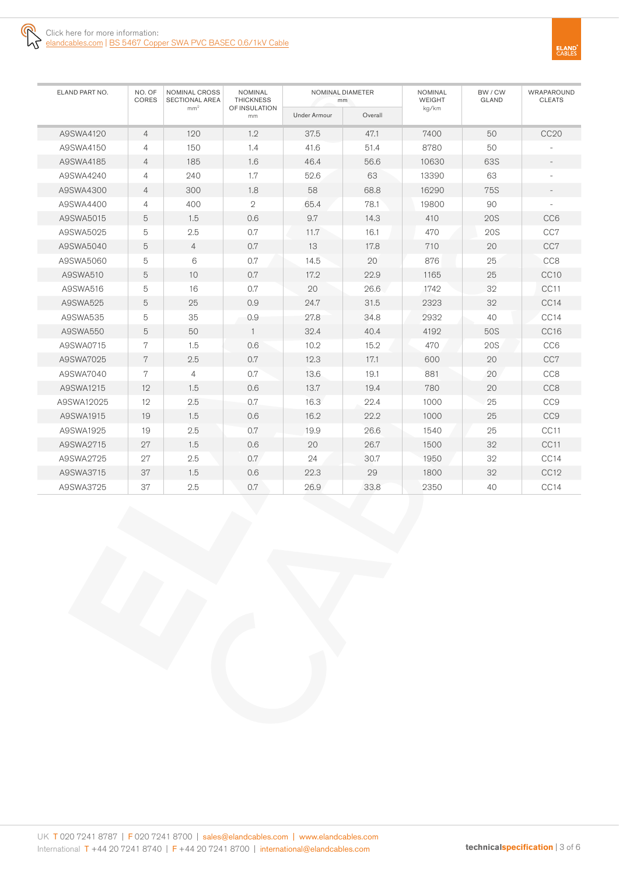

| ELAND PART NO. | NO. OF<br><b>NOMINAL CROSS</b><br>CORES<br><b>SECTIONAL AREA</b> |                 | <b>NOMINAL</b><br><b>THICKNESS</b> |                     | NOMINAL DIAMETER<br>mm | <b>NOMINAL</b><br><b>WEIGHT</b> | BW / CW<br><b>GLAND</b> | WRAPAROUND<br><b>CLEATS</b> |
|----------------|------------------------------------------------------------------|-----------------|------------------------------------|---------------------|------------------------|---------------------------------|-------------------------|-----------------------------|
|                |                                                                  | mm <sup>2</sup> | OF INSULATION<br>mm                | <b>Under Armour</b> | Overall                | kg/km                           |                         |                             |
| A9SWA4120      | $\overline{4}$                                                   | 120             | 1.2                                | 37.5                | 47.1                   | 7400                            | 50                      | <b>CC20</b>                 |
| A9SWA4150      | $\overline{4}$                                                   | 150             | 1.4                                | 41.6                | 51.4                   | 8780                            | 50                      |                             |
| A9SWA4185      | $\overline{4}$                                                   | 185             | 1.6                                | 46.4                | 56.6                   | 10630                           | 63S                     | $\qquad \qquad -$           |
| A9SWA4240      | $\overline{4}$                                                   | 240             | 1.7                                | 52.6                | 63                     | 13390                           | 63                      |                             |
| A9SWA4300      | $\overline{4}$                                                   | 300             | 1.8                                | 58                  | 68.8                   | 16290                           | <b>75S</b>              | $\overline{\phantom{a}}$    |
| A9SWA4400      | $\overline{4}$                                                   | 400             | $\mathbf{2}$                       | 65.4                | 78.1                   | 19800                           | 90                      |                             |
| A9SWA5015      | 5                                                                | 1.5             | 0.6                                | 9.7                 | 14.3                   | 410                             | <b>20S</b>              | CC <sub>6</sub>             |
| A9SWA5025      | 5                                                                | 2.5             | 0.7                                | 11.7                | 16.1                   | 470                             | 20S                     | CC7                         |
| A9SWA5040      | 5                                                                | $\overline{4}$  | 0.7                                | 13                  | 17.8                   | 710                             | 20                      | CC7                         |
| A9SWA5060      | 5                                                                | 6               | 0.7                                | 14.5                | 20                     | 876                             | 25                      | CC <sub>8</sub>             |
| A9SWA510       | 5                                                                | 10              | 0.7                                | 17.2                | 22.9                   | 1165                            | 25                      | CC <sub>10</sub>            |
| A9SWA516       | 5                                                                | 16              | 0.7                                | 20                  | 26.6                   | 1742                            | 32                      | CC11                        |
| A9SWA525       | 5                                                                | 25              | 0.9                                | 24.7                | 31.5                   | 2323                            | 32                      | CC <sub>14</sub>            |
| A9SWA535       | 5                                                                | 35              | 0.9                                | 27.8                | 34.8                   | 2932                            | 40                      | CC14                        |
| A9SWA550       | 5                                                                | 50              | $\mathbf{1}$                       | 32.4                | 40.4                   | 4192                            | 50S                     | CC16                        |
| A9SWA0715      | $\overline{7}$                                                   | 1.5             | 0.6                                | 10.2                | 15.2                   | 470                             | 20S                     | CC <sub>6</sub>             |
| A9SWA7025      | $7\phantom{.}$                                                   | 2.5             | 0.7                                | 12.3                | 17.1                   | 600                             | 20                      | CC7                         |
| A9SWA7040      | 7                                                                | $\overline{4}$  | 0.7                                | 13.6                | 19.1                   | 881                             | 20                      | CC <sub>8</sub>             |
| A9SWA1215      | 12                                                               | 1.5             | 0.6                                | 13.7                | 19.4                   | 780                             | 20                      | CC <sub>8</sub>             |
| A9SWA12025     | 12                                                               | 2.5             | 0.7                                | 16.3                | 22.4                   | 1000                            | 25                      | CC <sub>9</sub>             |
| A9SWA1915      | 19                                                               | 1.5             | 0.6                                | 16.2                | 22.2                   | 1000                            | 25                      | CC <sub>9</sub>             |
| A9SWA1925      | 19                                                               | 2.5             | 0.7                                | 19.9                | 26.6                   | 1540                            | 25                      | CC <sub>11</sub>            |
| A9SWA2715      | 27                                                               | 1.5             | 0.6                                | 20                  | 26.7                   | 1500                            | 32                      | CC11                        |
| A9SWA2725      | 27                                                               | 2.5             | 0.7                                | 24                  | 30.7                   | 1950                            | 32                      | CC14                        |
| A9SWA3715      | 37                                                               | 1.5             | 0.6                                | 22.3                | 29                     | 1800                            | 32                      | CC12                        |
| A9SWA3725      | 37                                                               | 2.5             | 0.7                                | 26.9                | 33.8                   | 2350                            | 40                      | CC14                        |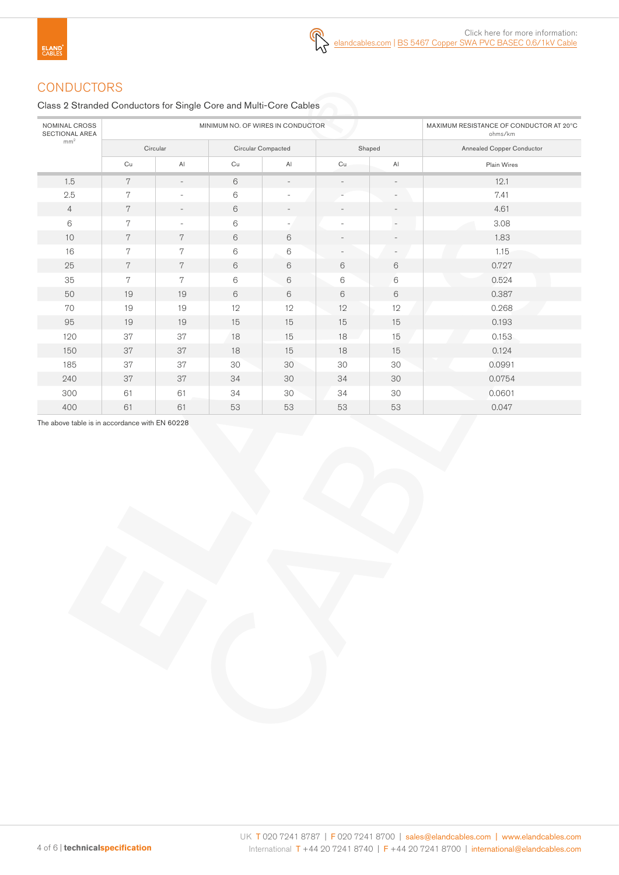# **CONDUCTORS**

Class 2 Stranded Conductors for Single Core and Multi-Core Cables

| <b>NOMINAL CROSS</b><br><b>SECTIONAL AREA</b> |    | MINIMUM NO. OF WIRES IN CONDUCTOR | MAXIMUM RESISTANCE OF CONDUCTOR AT 20°C<br>ohms/km |                          |                          |                          |                                  |
|-----------------------------------------------|----|-----------------------------------|----------------------------------------------------|--------------------------|--------------------------|--------------------------|----------------------------------|
| mm <sup>2</sup>                               |    | Circular                          |                                                    | Circular Compacted       | Shaped                   |                          | <b>Annealed Copper Conductor</b> |
|                                               | Cu | $\mathsf{Al}$                     | Cu                                                 | AI                       | Cu                       | AI                       | Plain Wires                      |
| 1.5                                           | 7  | $\overline{\phantom{a}}$          | 6                                                  | $\overline{\phantom{a}}$ | $\overline{\phantom{0}}$ | $\overline{\phantom{a}}$ | 12.1                             |
| 2.5                                           | 7  | ä,                                | $\,6$                                              | $\sim$                   |                          | $\sim$                   | 7.41                             |
| $\overline{4}$                                | 7  | $\overline{\phantom{0}}$          | 6                                                  | $\overline{\phantom{a}}$ | $\overline{\phantom{0}}$ | $\overline{\phantom{a}}$ | 4.61                             |
| 6                                             | 7  | $\overline{\phantom{a}}$          | 6                                                  | ٠                        | ٠                        | $\overline{\phantom{a}}$ | 3.08                             |
| 10                                            | 7  | 7                                 | 6                                                  | 6                        |                          | $\overline{\phantom{a}}$ | 1.83                             |
| 16                                            | 7  | 7                                 | 6                                                  | 6                        |                          | $\overline{\phantom{a}}$ | 1.15                             |
| 25                                            | 7  | 7                                 | 6                                                  | $6\,$                    | 6                        | 6                        | 0.727                            |
| 35                                            | 7  | 7                                 | 6                                                  | $6\,$                    | 6                        | 6                        | 0.524                            |
| 50                                            | 19 | 19                                | 6                                                  | 6                        | $6\,$                    | 6                        | 0.387                            |
| 70                                            | 19 | 19                                | 12                                                 | 12                       | 12                       | 12                       | 0.268                            |
| 95                                            | 19 | 19                                | 15                                                 | 15                       | 15                       | 15                       | 0.193                            |
| 120                                           | 37 | 37                                | 18                                                 | 15                       | 18                       | 15                       | 0.153                            |
| 150                                           | 37 | 37                                | 18                                                 | 15                       | 18                       | 15                       | 0.124                            |
| 185                                           | 37 | 37                                | 30                                                 | 30                       | 30                       | 30                       | 0.0991                           |
| 240                                           | 37 | 37                                | 34                                                 | 30                       | 34                       | 30                       | 0.0754                           |
| 300                                           | 61 | 61                                | 34                                                 | 30                       | 34                       | 30                       | 0.0601                           |
| 400                                           | 61 | 61                                | 53                                                 | 53                       | 53                       | 53                       | 0.047                            |

The above table is in accordance with EN 60228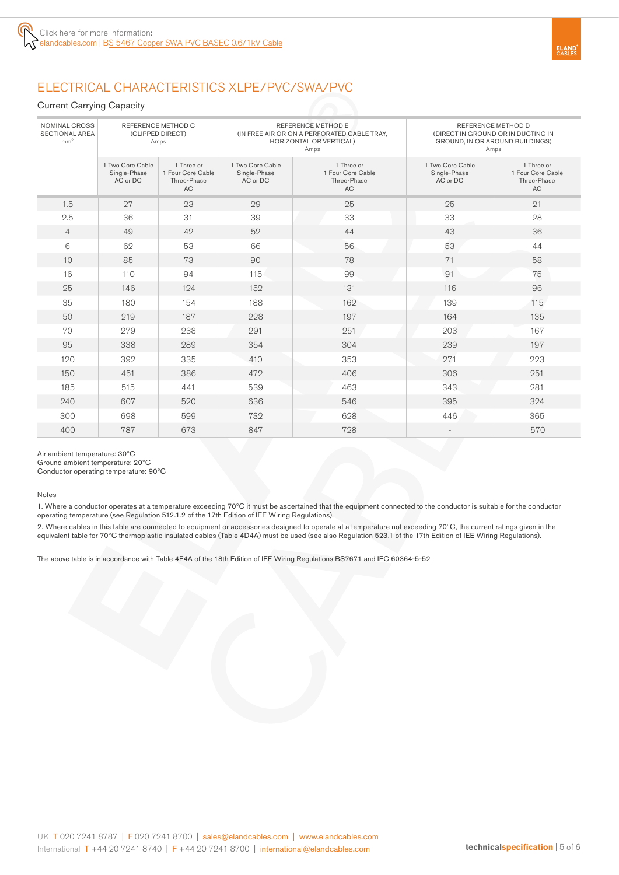# ELECTRICAL CHARACTERISTICS XLPE/PVC/SWA/PVC

#### Current Carrying Capacity

| NOMINAL CROSS<br><b>SECTIONAL AREA</b><br>mm <sup>2</sup> | (CLIPPED DIRECT)<br>Amps                     | REFERENCE METHOD C                                          |                                              | <b>REFERENCE METHOD E</b><br>(IN FREE AIR OR ON A PERFORATED CABLE TRAY,<br><b>HORIZONTAL OR VERTICAL)</b><br>Amps | REFERENCE METHOD D<br>(DIRECT IN GROUND OR IN DUCTING IN<br>GROUND, IN OR AROUND BUILDINGS)<br>Amps |                                                             |  |
|-----------------------------------------------------------|----------------------------------------------|-------------------------------------------------------------|----------------------------------------------|--------------------------------------------------------------------------------------------------------------------|-----------------------------------------------------------------------------------------------------|-------------------------------------------------------------|--|
|                                                           | 1 Two Core Cable<br>Single-Phase<br>AC or DC | 1 Three or<br>1 Four Core Cable<br>Three-Phase<br><b>AC</b> | 1 Two Core Cable<br>Single-Phase<br>AC or DC | 1 Three or<br>1 Four Core Cable<br>Three-Phase<br><b>AC</b>                                                        | 1 Two Core Cable<br>Single-Phase<br>AC or DC                                                        | 1 Three or<br>1 Four Core Cable<br>Three-Phase<br><b>AC</b> |  |
| 1.5                                                       | 27                                           | 23                                                          | 29                                           | 25                                                                                                                 | 25                                                                                                  | 21                                                          |  |
| 2.5                                                       | 36                                           | 31                                                          | 39                                           | 33                                                                                                                 | 33                                                                                                  | 28                                                          |  |
| $\overline{4}$                                            | 49                                           | 42                                                          | 52                                           | 44                                                                                                                 | 43                                                                                                  | 36                                                          |  |
| 6                                                         | 62                                           | 53                                                          | 66                                           | 56                                                                                                                 | 53                                                                                                  | 44                                                          |  |
| 10                                                        | 85                                           | 73                                                          | 90                                           | 78                                                                                                                 | 71                                                                                                  | 58                                                          |  |
| 16                                                        | 110                                          | 94                                                          | 115                                          | 99                                                                                                                 | 91                                                                                                  | 75                                                          |  |
| 25                                                        | 146                                          | 124                                                         | 152                                          | 131                                                                                                                | 116                                                                                                 | 96                                                          |  |
| 35                                                        | 180                                          | 154                                                         | 188                                          | 162                                                                                                                | 139                                                                                                 | 115                                                         |  |
| 50                                                        | 219                                          | 187                                                         | 228                                          | 197                                                                                                                | 164                                                                                                 | 135                                                         |  |
| 70                                                        | 279                                          | 238                                                         | 291                                          | 251                                                                                                                | 203                                                                                                 | 167                                                         |  |
| 95                                                        | 338                                          | 289                                                         | 354                                          | 304                                                                                                                | 239                                                                                                 | 197                                                         |  |
| 120                                                       | 392                                          | 335                                                         | 410                                          | 353                                                                                                                | 271                                                                                                 | 223                                                         |  |
| 150                                                       | 451                                          | 386                                                         | 472                                          | 406                                                                                                                | 306                                                                                                 | 251                                                         |  |
| 185                                                       | 515                                          | 441                                                         | 539                                          | 463                                                                                                                | 343                                                                                                 | 281                                                         |  |
| 240                                                       | 607                                          | 520                                                         | 636                                          | 546                                                                                                                | 395                                                                                                 | 324                                                         |  |
| 300                                                       | 698                                          | 599                                                         | 732                                          | 628                                                                                                                | 446                                                                                                 | 365                                                         |  |
| 400                                                       | 787                                          | 673                                                         | 847                                          | 728                                                                                                                |                                                                                                     | 570                                                         |  |

Air ambient temperature: 30ºC

Ground ambient temperature: 20ºC

Conductor operating temperature: 90ºC

Notes

1. Where a conductor operates at a temperature exceeding 70ºC it must be ascertained that the equipment connected to the conductor is suitable for the conductor operating temperature (see Regulation 512.1.2 of the 17th Edition of IEE Wiring Regulations).

2. Where cables in this table are connected to equipment or accessories designed to operate at a temperature not exceeding 70ºC, the current ratings given in the equivalent table for 70ºC thermoplastic insulated cables (Table 4D4A) must be used (see also Regulation 523.1 of the 17th Edition of IEE Wiring Regulations).

The above table is in accordance with Table 4E4A of the 18th Edition of IEE Wiring Regulations BS7671 and IEC 60364-5-52